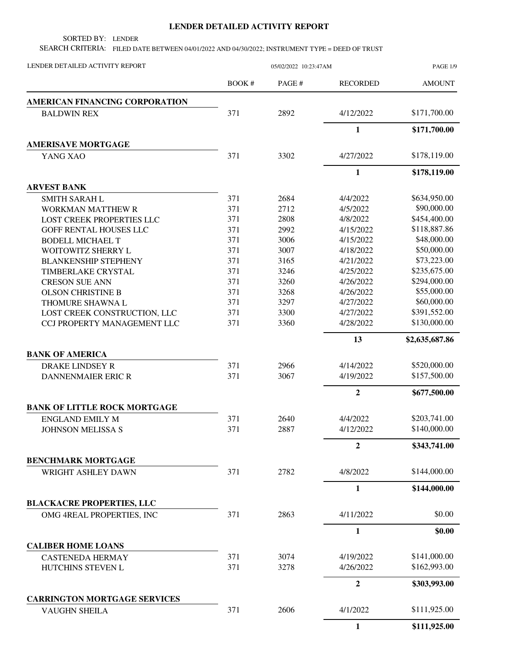## **LENDER DETAILED ACTIVITY REPORT**

SORTED BY: LENDER

SEARCH CRITERIA: FILED DATE BETWEEN 04/01/2022 AND 04/30/2022; INSTRUMENT TYPE = DEED OF TRUST

| LENDER DETAILED ACTIVITY REPORT     | 05/02/2022 10:23:47AM |        |                  | <b>PAGE 1/9</b> |
|-------------------------------------|-----------------------|--------|------------------|-----------------|
|                                     | BOOK #                | PAGE # | <b>RECORDED</b>  | <b>AMOUNT</b>   |
| AMERICAN FINANCING CORPORATION      |                       |        |                  |                 |
| <b>BALDWIN REX</b>                  | 371                   | 2892   | 4/12/2022        | \$171,700.00    |
|                                     |                       |        | $\mathbf{1}$     | \$171,700.00    |
| <b>AMERISAVE MORTGAGE</b>           |                       |        |                  |                 |
| YANG XAO                            | 371                   | 3302   | 4/27/2022        | \$178,119.00    |
|                                     |                       |        | $\mathbf{1}$     | \$178,119.00    |
| <b>ARVEST BANK</b>                  |                       |        |                  |                 |
| <b>SMITH SARAH L</b>                | 371                   | 2684   | 4/4/2022         | \$634,950.00    |
| <b>WORKMAN MATTHEW R</b>            | 371                   | 2712   | 4/5/2022         | \$90,000.00     |
| <b>LOST CREEK PROPERTIES LLC</b>    | 371                   | 2808   | 4/8/2022         | \$454,400.00    |
| GOFF RENTAL HOUSES LLC              | 371                   | 2992   | 4/15/2022        | \$118,887.86    |
| <b>BODELL MICHAEL T</b>             | 371                   | 3006   | 4/15/2022        | \$48,000.00     |
| WOITOWITZ SHERRY L                  | 371                   | 3007   | 4/18/2022        | \$50,000.00     |
| <b>BLANKENSHIP STEPHENY</b>         | 371                   | 3165   | 4/21/2022        | \$73,223.00     |
| TIMBERLAKE CRYSTAL                  | 371                   | 3246   | 4/25/2022        | \$235,675.00    |
| <b>CRESON SUE ANN</b>               | 371                   | 3260   | 4/26/2022        | \$294,000.00    |
| <b>OLSON CHRISTINE B</b>            | 371                   | 3268   | 4/26/2022        | \$55,000.00     |
| THOMURE SHAWNA L                    | 371                   | 3297   | 4/27/2022        | \$60,000.00     |
| LOST CREEK CONSTRUCTION, LLC        | 371                   | 3300   | 4/27/2022        | \$391,552.00    |
| CCJ PROPERTY MANAGEMENT LLC         | 371                   | 3360   | 4/28/2022        | \$130,000.00    |
|                                     |                       |        | 13               | \$2,635,687.86  |
| <b>BANK OF AMERICA</b>              |                       |        |                  |                 |
| DRAKE LINDSEY R                     | 371                   | 2966   | 4/14/2022        | \$520,000.00    |
| DANNENMAIER ERIC R                  | 371                   | 3067   | 4/19/2022        | \$157,500.00    |
|                                     |                       |        | $\overline{2}$   | \$677,500.00    |
| <b>BANK OF LITTLE ROCK MORTGAGE</b> |                       |        |                  |                 |
| <b>ENGLAND EMILY M</b>              | 371                   | 2640   | 4/4/2022         | \$203,741.00    |
| <b>JOHNSON MELISSA S</b>            | 371                   | 2887   | 4/12/2022        | \$140,000.00    |
|                                     |                       |        | $\boldsymbol{2}$ | \$343,741.00    |
| <b>BENCHMARK MORTGAGE</b>           |                       |        |                  |                 |
| WRIGHT ASHLEY DAWN                  | 371                   | 2782   | 4/8/2022         | \$144,000.00    |
|                                     |                       |        | 1                | \$144,000.00    |
| <b>BLACKACRE PROPERTIES, LLC</b>    |                       |        |                  |                 |
| OMG 4REAL PROPERTIES, INC           | 371                   | 2863   | 4/11/2022        | \$0.00          |
|                                     |                       |        | $\mathbf{1}$     | \$0.00          |
| <b>CALIBER HOME LOANS</b>           |                       |        |                  |                 |
| <b>CASTENEDA HERMAY</b>             | 371                   | 3074   | 4/19/2022        | \$141,000.00    |
| HUTCHINS STEVEN L                   | 371                   | 3278   | 4/26/2022        | \$162,993.00    |
|                                     |                       |        | $\overline{2}$   | \$303,993.00    |
| <b>CARRINGTON MORTGAGE SERVICES</b> |                       |        |                  |                 |
| <b>VAUGHN SHEILA</b>                | 371                   | 2606   | 4/1/2022         | \$111,925.00    |
|                                     |                       |        | 1                | \$111,925.00    |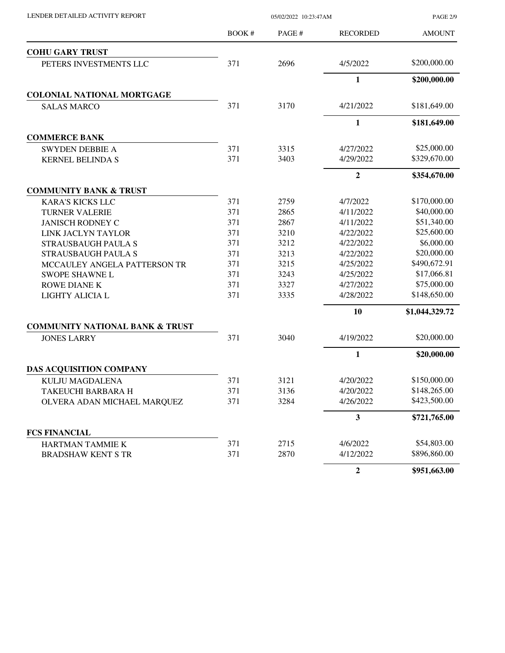LENDER DETAILED ACTIVITY REPORT 05/02/2022 10:23:47AM

PAGE 2/9

|                                            | <b>BOOK#</b> | PAGE# | <b>RECORDED</b>         | <b>AMOUNT</b>  |
|--------------------------------------------|--------------|-------|-------------------------|----------------|
| <b>COHU GARY TRUST</b>                     |              |       |                         |                |
| PETERS INVESTMENTS LLC                     | 371          | 2696  | 4/5/2022                | \$200,000.00   |
|                                            |              |       | 1                       | \$200,000.00   |
| <b>COLONIAL NATIONAL MORTGAGE</b>          |              |       |                         |                |
| <b>SALAS MARCO</b>                         | 371          | 3170  | 4/21/2022               | \$181,649.00   |
|                                            |              |       | 1                       | \$181,649.00   |
| <b>COMMERCE BANK</b>                       |              |       |                         |                |
| <b>SWYDEN DEBBIE A</b>                     | 371          | 3315  | 4/27/2022               | \$25,000.00    |
| <b>KERNEL BELINDA S</b>                    | 371          | 3403  | 4/29/2022               | \$329,670.00   |
|                                            |              |       | $\overline{2}$          | \$354,670.00   |
| <b>COMMUNITY BANK &amp; TRUST</b>          |              |       |                         |                |
| <b>KARA'S KICKS LLC</b>                    | 371          | 2759  | 4/7/2022                | \$170,000.00   |
| <b>TURNER VALERIE</b>                      | 371          | 2865  | 4/11/2022               | \$40,000.00    |
| <b>JANISCH RODNEY C</b>                    | 371          | 2867  | 4/11/2022               | \$51,340.00    |
| LINK JACLYN TAYLOR                         | 371          | 3210  | 4/22/2022               | \$25,600.00    |
| <b>STRAUSBAUGH PAULA S</b>                 | 371          | 3212  | 4/22/2022               | \$6,000.00     |
| <b>STRAUSBAUGH PAULA S</b>                 | 371          | 3213  | 4/22/2022               | \$20,000.00    |
| MCCAULEY ANGELA PATTERSON TR               | 371          | 3215  | 4/25/2022               | \$490,672.91   |
| <b>SWOPE SHAWNE L</b>                      | 371          | 3243  | 4/25/2022               | \$17,066.81    |
| <b>ROWE DIANE K</b>                        | 371          | 3327  | 4/27/2022               | \$75,000.00    |
| LIGHTY ALICIA L                            | 371          | 3335  | 4/28/2022               | \$148,650.00   |
|                                            |              |       | 10                      | \$1,044,329.72 |
| <b>COMMUNITY NATIONAL BANK &amp; TRUST</b> |              |       |                         |                |
| <b>JONES LARRY</b>                         | 371          | 3040  | 4/19/2022               | \$20,000.00    |
|                                            |              |       | 1                       | \$20,000.00    |
| <b>DAS ACQUISITION COMPANY</b>             |              |       |                         |                |
| <b>KULJU MAGDALENA</b>                     | 371          | 3121  | 4/20/2022               | \$150,000.00   |
| TAKEUCHI BARBARA H                         | 371          | 3136  | 4/20/2022               | \$148,265.00   |
| OLVERA ADAN MICHAEL MARQUEZ                | 371          | 3284  | 4/26/2022               | \$423,500.00   |
|                                            |              |       | $\overline{\mathbf{3}}$ | \$721,765.00   |
| <b>FCS FINANCIAL</b>                       |              |       |                         |                |
| HARTMAN TAMMIE K                           | 371          | 2715  | 4/6/2022                | \$54,803.00    |
| <b>BRADSHAW KENT S TR</b>                  | 371          | 2870  | 4/12/2022               | \$896,860.00   |
|                                            |              |       | $\boldsymbol{2}$        | \$951,663.00   |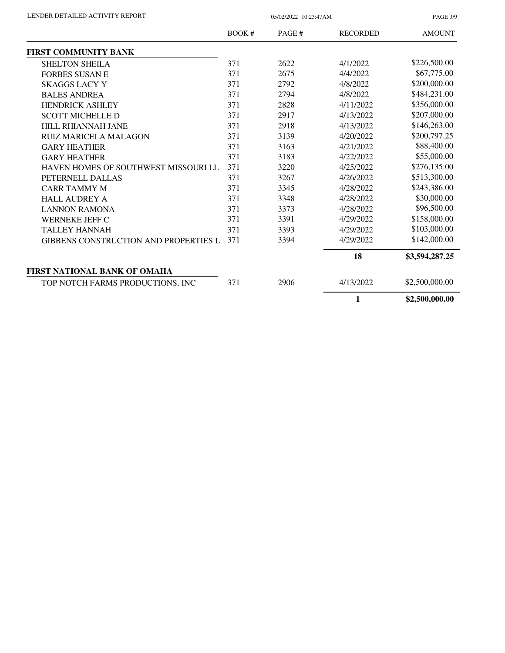PAGE 3/9

|                                       | <b>BOOK#</b> | PAGE# | <b>RECORDED</b> | <b>AMOUNT</b>  |
|---------------------------------------|--------------|-------|-----------------|----------------|
| <b>FIRST COMMUNITY BANK</b>           |              |       |                 |                |
| <b>SHELTON SHEILA</b>                 | 371          | 2622  | 4/1/2022        | \$226,500.00   |
| <b>FORBES SUSAN E</b>                 | 371          | 2675  | 4/4/2022        | \$67,775.00    |
| <b>SKAGGS LACY Y</b>                  | 371          | 2792  | 4/8/2022        | \$200,000.00   |
| <b>BALES ANDREA</b>                   | 371          | 2794  | 4/8/2022        | \$484,231.00   |
| <b>HENDRICK ASHLEY</b>                | 371          | 2828  | 4/11/2022       | \$356,000.00   |
| <b>SCOTT MICHELLE D</b>               | 371          | 2917  | 4/13/2022       | \$207,000.00   |
| <b>HILL RHIANNAH JANE</b>             | 371          | 2918  | 4/13/2022       | \$146,263.00   |
| <b>RUIZ MARICELA MALAGON</b>          | 371          | 3139  | 4/20/2022       | \$200,797.25   |
| <b>GARY HEATHER</b>                   | 371          | 3163  | 4/21/2022       | \$88,400.00    |
| <b>GARY HEATHER</b>                   | 371          | 3183  | 4/22/2022       | \$55,000.00    |
| HAVEN HOMES OF SOUTHWEST MISSOURI LL  | 371          | 3220  | 4/25/2022       | \$276,135.00   |
| PETERNELL DALLAS                      | 371          | 3267  | 4/26/2022       | \$513,300.00   |
| <b>CARR TAMMY M</b>                   | 371          | 3345  | 4/28/2022       | \$243,386.00   |
| <b>HALL AUDREY A</b>                  | 371          | 3348  | 4/28/2022       | \$30,000.00    |
| <b>LANNON RAMONA</b>                  | 371          | 3373  | 4/28/2022       | \$96,500.00    |
| <b>WERNEKE JEFF C</b>                 | 371          | 3391  | 4/29/2022       | \$158,000.00   |
| <b>TALLEY HANNAH</b>                  | 371          | 3393  | 4/29/2022       | \$103,000.00   |
| GIBBENS CONSTRUCTION AND PROPERTIES L | 371          | 3394  | 4/29/2022       | \$142,000.00   |
|                                       |              |       | 18              | \$3,594,287.25 |
| FIRST NATIONAL BANK OF OMAHA          |              |       |                 |                |
| TOP NOTCH FARMS PRODUCTIONS, INC      | 371          | 2906  | 4/13/2022       | \$2,500,000.00 |
|                                       |              |       | 1               | \$2,500,000.00 |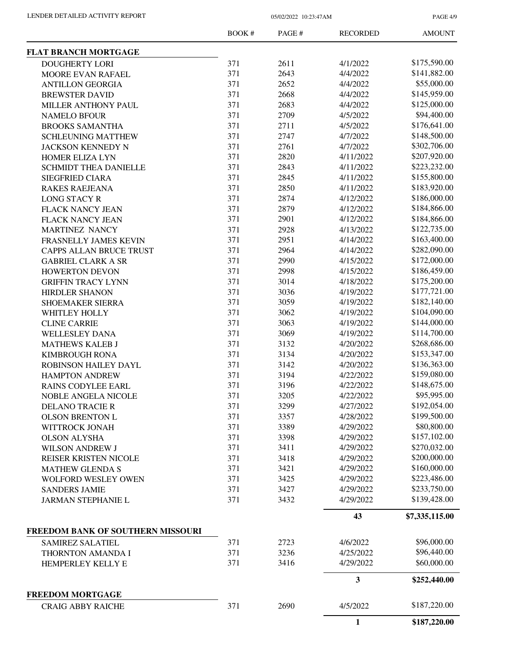PAGE 4/9

|                                                    | <b>BOOK#</b> | PAGE# | <b>RECORDED</b> | <b>AMOUNT</b>  |
|----------------------------------------------------|--------------|-------|-----------------|----------------|
| <b>FLAT BRANCH MORTGAGE</b>                        |              |       |                 |                |
| <b>DOUGHERTY LORI</b>                              | 371          | 2611  | 4/1/2022        | \$175,590.00   |
| MOORE EVAN RAFAEL                                  | 371          | 2643  | 4/4/2022        | \$141,882.00   |
| <b>ANTILLON GEORGIA</b>                            | 371          | 2652  | 4/4/2022        | \$55,000.00    |
| <b>BREWSTER DAVID</b>                              | 371          | 2668  | 4/4/2022        | \$145,959.00   |
| MILLER ANTHONY PAUL                                | 371          | 2683  | 4/4/2022        | \$125,000.00   |
| <b>NAMELO BFOUR</b>                                | 371          | 2709  | 4/5/2022        | \$94,400.00    |
| <b>BROOKS SAMANTHA</b>                             | 371          | 2711  | 4/5/2022        | \$176,641.00   |
| <b>SCHLEUNING MATTHEW</b>                          | 371          | 2747  | 4/7/2022        | \$148,500.00   |
| <b>JACKSON KENNEDY N</b>                           | 371          | 2761  | 4/7/2022        | \$302,706.00   |
| HOMER ELIZA LYN                                    | 371          | 2820  | 4/11/2022       | \$207,920.00   |
| <b>SCHMIDT THEA DANIELLE</b>                       | 371          | 2843  | 4/11/2022       | \$223,232.00   |
| <b>SIEGFRIED CIARA</b>                             | 371          | 2845  | 4/11/2022       | \$155,800.00   |
| <b>RAKES RAEJEANA</b>                              | 371          | 2850  | 4/11/2022       | \$183,920.00   |
| <b>LONG STACY R</b>                                | 371          | 2874  | 4/12/2022       | \$186,000.00   |
| <b>FLACK NANCY JEAN</b>                            | 371          | 2879  | 4/12/2022       | \$184,866.00   |
| <b>FLACK NANCY JEAN</b>                            | 371          | 2901  | 4/12/2022       | \$184,866.00   |
| <b>MARTINEZ NANCY</b>                              | 371          | 2928  | 4/13/2022       | \$122,735.00   |
| FRASNELLY JAMES KEVIN                              | 371          | 2951  | 4/14/2022       | \$163,400.00   |
| CAPPS ALLAN BRUCE TRUST                            | 371          | 2964  | 4/14/2022       | \$282,090.00   |
| <b>GABRIEL CLARK A SR</b>                          | 371          | 2990  | 4/15/2022       | \$172,000.00   |
| HOWERTON DEVON                                     | 371          | 2998  | 4/15/2022       | \$186,459.00   |
|                                                    | 371          | 3014  | 4/18/2022       | \$175,200.00   |
| <b>GRIFFIN TRACY LYNN</b><br><b>HIRDLER SHANON</b> | 371          | 3036  | 4/19/2022       | \$177,721.00   |
|                                                    | 371          | 3059  | 4/19/2022       | \$182,140.00   |
| <b>SHOEMAKER SIERRA</b>                            | 371          | 3062  |                 | \$104,090.00   |
| WHITLEY HOLLY                                      |              |       | 4/19/2022       | \$144,000.00   |
| <b>CLINE CARRIE</b>                                | 371          | 3063  | 4/19/2022       |                |
| <b>WELLESLEY DANA</b>                              | 371          | 3069  | 4/19/2022       | \$114,700.00   |
| <b>MATHEWS KALEB J</b>                             | 371          | 3132  | 4/20/2022       | \$268,686.00   |
| <b>KIMBROUGH RONA</b>                              | 371          | 3134  | 4/20/2022       | \$153,347.00   |
| ROBINSON HAILEY DAYL                               | 371          | 3142  | 4/20/2022       | \$136,363.00   |
| <b>HAMPTON ANDREW</b>                              | 371          | 3194  | 4/22/2022       | \$159,080.00   |
| RAINS CODYLEE EARL                                 | 371          | 3196  | 4/22/2022       | \$148,675.00   |
| NOBLE ANGELA NICOLE                                | 371          | 3205  | 4/22/2022       | \$95,995.00    |
| <b>DELANO TRACIE R</b>                             | 371          | 3299  | 4/27/2022       | \$192,054.00   |
| <b>OLSON BRENTON L</b>                             | 371          | 3357  | 4/28/2022       | \$199,500.00   |
| WITTROCK JONAH                                     | 371          | 3389  | 4/29/2022       | \$80,800.00    |
| <b>OLSON ALYSHA</b>                                | 371          | 3398  | 4/29/2022       | \$157,102.00   |
| <b>WILSON ANDREW J</b>                             | 371          | 3411  | 4/29/2022       | \$270,032.00   |
| REISER KRISTEN NICOLE                              | 371          | 3418  | 4/29/2022       | \$200,000.00   |
| <b>MATHEW GLENDA S</b>                             | 371          | 3421  | 4/29/2022       | \$160,000.00   |
| WOLFORD WESLEY OWEN                                | 371          | 3425  | 4/29/2022       | \$223,486.00   |
| <b>SANDERS JAMIE</b>                               | 371          | 3427  | 4/29/2022       | \$233,750.00   |
| <b>JARMAN STEPHANIE L</b>                          | 371          | 3432  | 4/29/2022       | \$139,428.00   |
|                                                    |              |       | 43              | \$7,335,115.00 |
| FREEDOM BANK OF SOUTHERN MISSOURI                  |              |       |                 |                |
| <b>SAMIREZ SALATIEL</b>                            | 371          | 2723  | 4/6/2022        | \$96,000.00    |
| THORNTON AMANDA I                                  | 371          | 3236  | 4/25/2022       | \$96,440.00    |
| HEMPERLEY KELLY E                                  | 371          | 3416  | 4/29/2022       | \$60,000.00    |
|                                                    |              |       | 3               | \$252,440.00   |
| <b>FREEDOM MORTGAGE</b>                            |              |       |                 |                |
| <b>CRAIG ABBY RAICHE</b>                           | 371          | 2690  | 4/5/2022        | \$187,220.00   |
|                                                    |              |       | 1               | \$187,220.00   |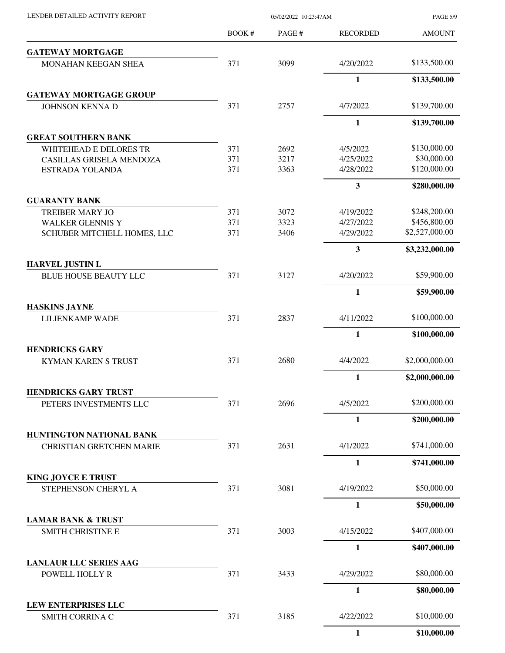| LENDER DETAILED ACTIVITY REPORT |  |
|---------------------------------|--|

05/02/2022 10:23:47AM

PAGE 5/9

|                                                             | <b>BOOK#</b> | PAGE # | <b>RECORDED</b> | <b>AMOUNT</b>  |
|-------------------------------------------------------------|--------------|--------|-----------------|----------------|
| <b>GATEWAY MORTGAGE</b>                                     |              |        |                 |                |
| MONAHAN KEEGAN SHEA                                         | 371          | 3099   | 4/20/2022       | \$133,500.00   |
|                                                             |              |        | $\mathbf{1}$    | \$133,500.00   |
| <b>GATEWAY MORTGAGE GROUP</b>                               |              |        |                 |                |
| <b>JOHNSON KENNA D</b>                                      | 371          | 2757   | 4/7/2022        | \$139,700.00   |
| <b>GREAT SOUTHERN BANK</b>                                  |              |        | $\mathbf{1}$    | \$139,700.00   |
| <b>WHITEHEAD E DELORES TR</b>                               | 371          | 2692   | 4/5/2022        | \$130,000.00   |
| CASILLAS GRISELA MENDOZA                                    | 371          | 3217   | 4/25/2022       | \$30,000.00    |
| ESTRADA YOLANDA                                             | 371          | 3363   | 4/28/2022       | \$120,000.00   |
|                                                             |              |        | $\mathbf{3}$    | \$280,000.00   |
| <b>GUARANTY BANK</b>                                        |              |        |                 |                |
| <b>TREIBER MARY JO</b>                                      | 371          | 3072   | 4/19/2022       | \$248,200.00   |
| <b>WALKER GLENNIS Y</b>                                     | 371          | 3323   | 4/27/2022       | \$456,800.00   |
| SCHUBER MITCHELL HOMES, LLC                                 | 371          | 3406   | 4/29/2022       | \$2,527,000.00 |
|                                                             |              |        | $\mathbf{3}$    | \$3,232,000.00 |
| <b>HARVEL JUSTIN L</b><br><b>BLUE HOUSE BEAUTY LLC</b>      | 371          | 3127   | 4/20/2022       | \$59,900.00    |
|                                                             |              |        | $\mathbf{1}$    | \$59,900.00    |
| <b>HASKINS JAYNE</b>                                        |              |        |                 |                |
| <b>LILIENKAMP WADE</b>                                      | 371          | 2837   | 4/11/2022       | \$100,000.00   |
|                                                             |              |        | $\mathbf{1}$    | \$100,000.00   |
| <b>HENDRICKS GARY</b>                                       |              |        |                 |                |
| <b>KYMAN KAREN S TRUST</b>                                  | 371          | 2680   | 4/4/2022        | \$2,000,000.00 |
|                                                             |              |        | $\mathbf{1}$    | \$2,000,000.00 |
| <b>HENDRICKS GARY TRUST</b>                                 |              |        |                 |                |
| PETERS INVESTMENTS LLC                                      | 371          | 2696   | 4/5/2022        | \$200,000.00   |
|                                                             |              |        | $\mathbf{1}$    | \$200,000.00   |
| HUNTINGTON NATIONAL BANK<br><b>CHRISTIAN GRETCHEN MARIE</b> | 371          | 2631   | 4/1/2022        | \$741,000.00   |
|                                                             |              |        | $\mathbf{1}$    | \$741,000.00   |
| <b>KING JOYCE E TRUST</b>                                   |              |        |                 |                |
| STEPHENSON CHERYL A                                         | 371          | 3081   | 4/19/2022       | \$50,000.00    |
|                                                             |              |        | $\mathbf{1}$    | \$50,000.00    |
| <b>LAMAR BANK &amp; TRUST</b>                               |              |        |                 |                |
| SMITH CHRISTINE E                                           | 371          | 3003   | 4/15/2022       | \$407,000.00   |
|                                                             |              |        | $\mathbf{1}$    | \$407,000.00   |
| <b>LANLAUR LLC SERIES AAG</b>                               |              |        |                 |                |
| POWELL HOLLY R                                              | 371          | 3433   | 4/29/2022       | \$80,000.00    |
|                                                             |              |        | $\mathbf{1}$    | \$80,000.00    |
| <b>LEW ENTERPRISES LLC</b><br>SMITH CORRINA C               | 371          | 3185   | 4/22/2022       | \$10,000.00    |
|                                                             |              |        | $\mathbf{1}$    | \$10,000.00    |
|                                                             |              |        |                 |                |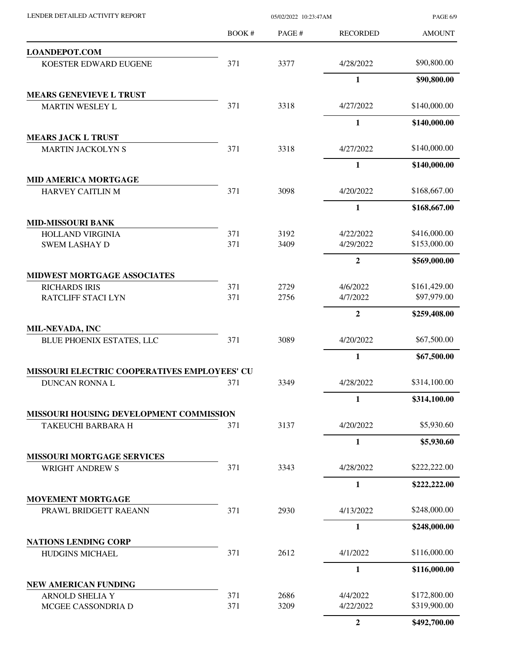| LENDER DETAILED ACTIVITY REPORT                             |            | 05/02/2022 10:23:47AM |                        |                              |
|-------------------------------------------------------------|------------|-----------------------|------------------------|------------------------------|
|                                                             | BOOK#      | PAGE#                 | <b>RECORDED</b>        | <b>AMOUNT</b>                |
| <b>LOANDEPOT.COM</b>                                        |            |                       |                        |                              |
| KOESTER EDWARD EUGENE                                       | 371        | 3377                  | 4/28/2022              | \$90,800.00                  |
|                                                             |            |                       | $\mathbf{1}$           | \$90,800.00                  |
| <b>MEARS GENEVIEVE L TRUST</b>                              |            |                       |                        |                              |
| <b>MARTIN WESLEY L</b>                                      | 371        | 3318                  | 4/27/2022              | \$140,000.00                 |
| <b>MEARS JACK L TRUST</b>                                   |            |                       | $\mathbf{1}$           | \$140,000.00                 |
| <b>MARTIN JACKOLYN S</b>                                    | 371        | 3318                  | 4/27/2022              | \$140,000.00                 |
|                                                             |            |                       | 1                      | \$140,000.00                 |
| <b>MID AMERICA MORTGAGE</b>                                 |            |                       |                        |                              |
| <b>HARVEY CAITLIN M</b>                                     | 371        | 3098                  | 4/20/2022              | \$168,667.00                 |
|                                                             |            |                       | $\mathbf{1}$           | \$168,667.00                 |
| <b>MID-MISSOURI BANK</b>                                    |            |                       |                        |                              |
| HOLLAND VIRGINIA<br><b>SWEM LASHAY D</b>                    | 371<br>371 | 3192<br>3409          | 4/22/2022<br>4/29/2022 | \$416,000.00<br>\$153,000.00 |
|                                                             |            |                       | $\boldsymbol{2}$       | \$569,000.00                 |
| MIDWEST MORTGAGE ASSOCIATES                                 |            |                       |                        |                              |
| <b>RICHARDS IRIS</b>                                        | 371        | 2729                  | 4/6/2022               | \$161,429.00                 |
| RATCLIFF STACI LYN                                          | 371        | 2756                  | 4/7/2022               | \$97,979.00                  |
|                                                             |            |                       | $\overline{2}$         | \$259,408.00                 |
| MIL-NEVADA, INC<br>BLUE PHOENIX ESTATES, LLC                | 371        | 3089                  | 4/20/2022              | \$67,500.00                  |
|                                                             |            |                       | $\mathbf{1}$           | \$67,500.00                  |
| MISSOURI ELECTRIC COOPERATIVES EMPLOYEES' CU                |            |                       |                        |                              |
| DUNCAN RONNA L                                              | 371        | 3349                  | 4/28/2022              | \$314,100.00                 |
|                                                             |            |                       | 1                      | \$314,100.00                 |
| MISSOURI HOUSING DEVELOPMENT COMMISSION                     |            |                       |                        |                              |
| TAKEUCHI BARBARA H                                          | 371        | 3137                  | 4/20/2022              | \$5,930.60                   |
|                                                             |            |                       | $\mathbf{1}$           | \$5,930.60                   |
| <b>MISSOURI MORTGAGE SERVICES</b><br><b>WRIGHT ANDREW S</b> | 371        | 3343                  | 4/28/2022              | \$222,222.00                 |
|                                                             |            |                       | $\mathbf{1}$           | \$222,222.00                 |
| <b>MOVEMENT MORTGAGE</b>                                    |            |                       |                        |                              |
| PRAWL BRIDGETT RAEANN                                       | 371        | 2930                  | 4/13/2022              | \$248,000.00                 |
|                                                             |            |                       | 1                      | \$248,000.00                 |
| <b>NATIONS LENDING CORP</b><br><b>HUDGINS MICHAEL</b>       | 371        | 2612                  | 4/1/2022               | \$116,000.00                 |
|                                                             |            |                       | $\mathbf{1}$           | \$116,000.00                 |
| <b>NEW AMERICAN FUNDING</b>                                 |            |                       |                        |                              |
| <b>ARNOLD SHELIA Y</b>                                      | 371        | 2686                  | 4/4/2022               | \$172,800.00                 |
| MCGEE CASSONDRIA D                                          | 371        | 3209                  | 4/22/2022              | \$319,900.00                 |
|                                                             |            |                       | $\overline{2}$         | \$492,700.00                 |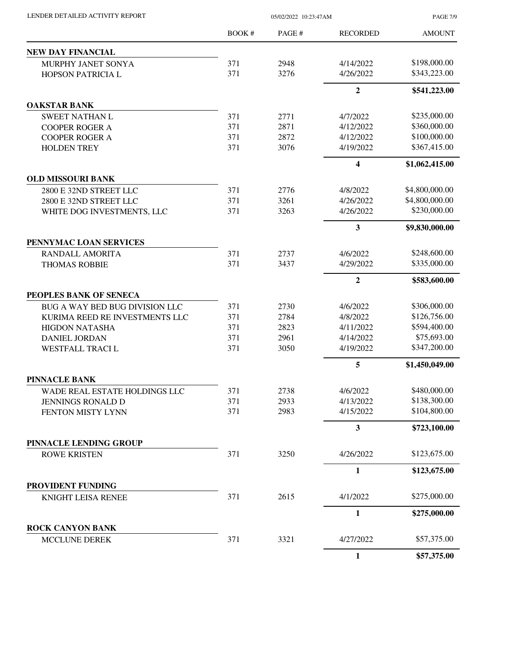| LENDER DETAILED ACTIVITY REPORT |  |
|---------------------------------|--|
|                                 |  |

05/02/2022 10:23:47AM

PAGE 7/9

|                                | <b>BOOK#</b> | PAGE# | <b>RECORDED</b>         | <b>AMOUNT</b>  |
|--------------------------------|--------------|-------|-------------------------|----------------|
| <b>NEW DAY FINANCIAL</b>       |              |       |                         |                |
| MURPHY JANET SONYA             | 371          | 2948  | 4/14/2022               | \$198,000.00   |
| HOPSON PATRICIA L              | 371          | 3276  | 4/26/2022               | \$343,223.00   |
|                                |              |       | $\overline{2}$          | \$541,223.00   |
| <b>OAKSTAR BANK</b>            |              |       |                         |                |
| <b>SWEET NATHAN L</b>          | 371          | 2771  | 4/7/2022                | \$235,000.00   |
| <b>COOPER ROGER A</b>          | 371          | 2871  | 4/12/2022               | \$360,000.00   |
| <b>COOPER ROGER A</b>          | 371          | 2872  | 4/12/2022               | \$100,000.00   |
| <b>HOLDEN TREY</b>             | 371          | 3076  | 4/19/2022               | \$367,415.00   |
|                                |              |       | 4                       | \$1,062,415.00 |
| <b>OLD MISSOURI BANK</b>       |              |       |                         |                |
| 2800 E 32ND STREET LLC         | 371          | 2776  | 4/8/2022                | \$4,800,000.00 |
| 2800 E 32ND STREET LLC         | 371          | 3261  | 4/26/2022               | \$4,800,000.00 |
| WHITE DOG INVESTMENTS, LLC     | 371          | 3263  | 4/26/2022               | \$230,000.00   |
|                                |              |       | $\overline{\mathbf{3}}$ | \$9,830,000.00 |
| PENNYMAC LOAN SERVICES         |              |       |                         |                |
| RANDALL AMORITA                | 371          | 2737  | 4/6/2022                | \$248,600.00   |
| <b>THOMAS ROBBIE</b>           | 371          | 3437  | 4/29/2022               | \$335,000.00   |
|                                |              |       | $\boldsymbol{2}$        | \$583,600.00   |
| PEOPLES BANK OF SENECA         |              |       |                         |                |
| BUG A WAY BED BUG DIVISION LLC | 371          | 2730  | 4/6/2022                | \$306,000.00   |
| KURIMA REED RE INVESTMENTS LLC | 371          | 2784  | 4/8/2022                | \$126,756.00   |
| <b>HIGDON NATASHA</b>          | 371          | 2823  | 4/11/2022               | \$594,400.00   |
| <b>DANIEL JORDAN</b>           | 371          | 2961  | 4/14/2022               | \$75,693.00    |
| WESTFALL TRACI L               | 371          | 3050  | 4/19/2022               | \$347,200.00   |
|                                |              |       | 5                       | \$1,450,049.00 |
| <b>PINNACLE BANK</b>           |              |       |                         |                |
| WADE REAL ESTATE HOLDINGS LLC  | 371          | 2738  | 4/6/2022                | \$480,000.00   |
| <b>JENNINGS RONALD D</b>       | 371          | 2933  | 4/13/2022               | \$138,300.00   |
| FENTON MISTY LYNN              | 371          | 2983  | 4/15/2022               | \$104,800.00   |
|                                |              |       | $\overline{\mathbf{3}}$ | \$723,100.00   |
| PINNACLE LENDING GROUP         | 371          | 3250  |                         | \$123,675.00   |
| <b>ROWE KRISTEN</b>            |              |       | 4/26/2022               |                |
|                                |              |       | $\mathbf{1}$            | \$123,675.00   |
| <b>PROVIDENT FUNDING</b>       |              |       |                         |                |
| KNIGHT LEISA RENEE             | 371          | 2615  | 4/1/2022                | \$275,000.00   |
|                                |              |       | 1                       | \$275,000.00   |
| <b>ROCK CANYON BANK</b>        |              |       |                         |                |
| <b>MCCLUNE DEREK</b>           | 371          | 3321  | 4/27/2022               | \$57,375.00    |
|                                |              |       | 1                       | \$57,375.00    |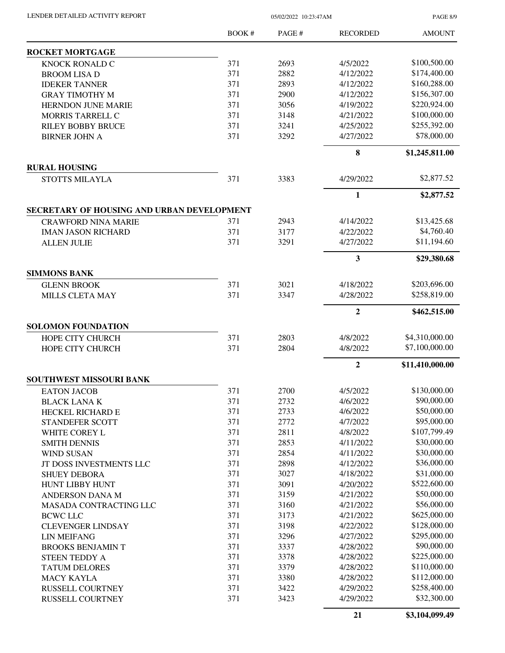LENDER DETAILED ACTIVITY REPORT 05/02/2022 10:23:47AM

PAGE 8/9

|                                            | BOOK# | PAGE# | <b>RECORDED</b>         | <b>AMOUNT</b>   |
|--------------------------------------------|-------|-------|-------------------------|-----------------|
| <b>ROCKET MORTGAGE</b>                     |       |       |                         |                 |
| <b>KNOCK RONALD C</b>                      | 371   | 2693  | 4/5/2022                | \$100,500.00    |
| <b>BROOM LISA D</b>                        | 371   | 2882  | 4/12/2022               | \$174,400.00    |
| <b>IDEKER TANNER</b>                       | 371   | 2893  | 4/12/2022               | \$160,288.00    |
| <b>GRAY TIMOTHY M</b>                      | 371   | 2900  | 4/12/2022               | \$156,307.00    |
| <b>HERNDON JUNE MARIE</b>                  | 371   | 3056  | 4/19/2022               | \$220,924.00    |
| MORRIS TARRELL C                           | 371   | 3148  | 4/21/2022               | \$100,000.00    |
| <b>RILEY BOBBY BRUCE</b>                   | 371   | 3241  | 4/25/2022               | \$255,392.00    |
| <b>BIRNER JOHN A</b>                       | 371   | 3292  | 4/27/2022               | \$78,000.00     |
|                                            |       |       | 8                       | \$1,245,811.00  |
| <b>RURAL HOUSING</b>                       |       |       |                         |                 |
| <b>STOTTS MILAYLA</b>                      | 371   | 3383  | 4/29/2022               | \$2,877.52      |
|                                            |       |       | 1                       | \$2,877.52      |
| SECRETARY OF HOUSING AND URBAN DEVELOPMENT |       |       |                         |                 |
| <b>CRAWFORD NINA MARIE</b>                 | 371   | 2943  | 4/14/2022               | \$13,425.68     |
| <b>IMAN JASON RICHARD</b>                  | 371   | 3177  | 4/22/2022               | \$4,760.40      |
| <b>ALLEN JULIE</b>                         | 371   | 3291  | 4/27/2022               | \$11,194.60     |
|                                            |       |       | $\overline{\mathbf{3}}$ | \$29,380.68     |
| <b>SIMMONS BANK</b>                        |       |       |                         |                 |
| <b>GLENN BROOK</b>                         | 371   | 3021  | 4/18/2022               | \$203,696.00    |
| MILLS CLETA MAY                            | 371   | 3347  | 4/28/2022               | \$258,819.00    |
|                                            |       |       | $\overline{2}$          | \$462,515.00    |
| <b>SOLOMON FOUNDATION</b>                  |       |       |                         |                 |
| HOPE CITY CHURCH                           | 371   | 2803  | 4/8/2022                | \$4,310,000.00  |
| HOPE CITY CHURCH                           | 371   | 2804  | 4/8/2022                | \$7,100,000.00  |
|                                            |       |       | $\overline{2}$          | \$11,410,000.00 |
| SOUTHWEST MISSOURI BANK                    |       |       |                         |                 |
| <b>EATON JACOB</b>                         | 371   | 2700  | 4/5/2022                | \$130,000.00    |
| <b>BLACK LANA K</b>                        | 371   | 2732  | 4/6/2022                | \$90,000.00     |
| HECKEL RICHARD E                           | 371   | 2733  | 4/6/2022                | \$50,000.00     |
| <b>STANDEFER SCOTT</b>                     | 371   | 2772  | 4/7/2022                | \$95,000.00     |
| WHITE COREY L                              | 371   | 2811  | 4/8/2022                | \$107,799.49    |
| <b>SMITH DENNIS</b>                        | 371   | 2853  | 4/11/2022               | \$30,000.00     |
| <b>WIND SUSAN</b>                          | 371   | 2854  | 4/11/2022               | \$30,000.00     |
| JT DOSS INVESTMENTS LLC                    | 371   | 2898  | 4/12/2022               | \$36,000.00     |
| <b>SHUEY DEBORA</b>                        | 371   | 3027  | 4/18/2022               | \$31,000.00     |
| HUNT LIBBY HUNT                            | 371   | 3091  | 4/20/2022               | \$522,600.00    |
| <b>ANDERSON DANA M</b>                     | 371   | 3159  | 4/21/2022               | \$50,000.00     |
| MASADA CONTRACTING LLC                     | 371   | 3160  | 4/21/2022               | \$56,000.00     |
| <b>BCWC LLC</b>                            | 371   | 3173  | 4/21/2022               | \$625,000.00    |
| <b>CLEVENGER LINDSAY</b>                   | 371   | 3198  | 4/22/2022               | \$128,000.00    |
| <b>LIN MEIFANG</b>                         | 371   | 3296  | 4/27/2022               | \$295,000.00    |
| <b>BROOKS BENJAMINT</b>                    | 371   | 3337  | 4/28/2022               | \$90,000.00     |
| <b>STEEN TEDDY A</b>                       | 371   | 3378  | 4/28/2022               | \$225,000.00    |
| <b>TATUM DELORES</b>                       | 371   | 3379  | 4/28/2022               | \$110,000.00    |
| <b>MACY KAYLA</b>                          | 371   | 3380  | 4/28/2022               | \$112,000.00    |
| RUSSELL COURTNEY                           | 371   | 3422  | 4/29/2022               | \$258,400.00    |
| RUSSELL COURTNEY                           | 371   | 3423  | 4/29/2022               | \$32,300.00     |
|                                            |       |       |                         |                 |

**21 \$3,104,099.49**